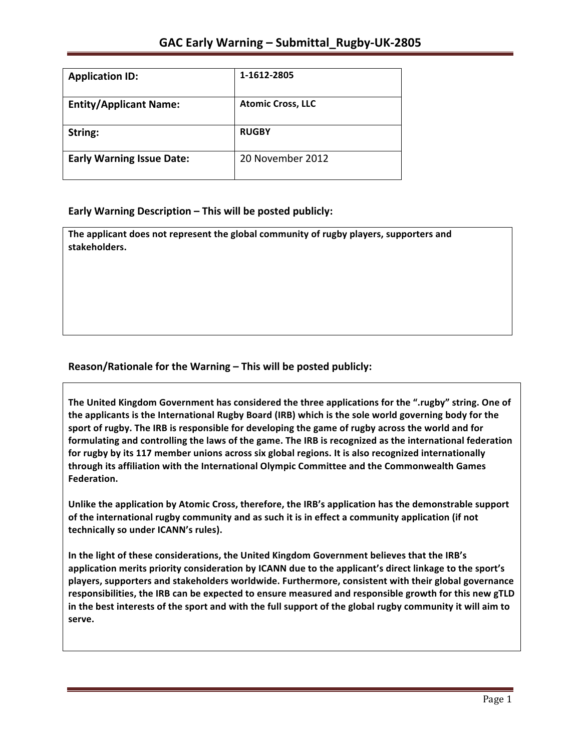| <b>Application ID:</b>           | 1-1612-2805              |
|----------------------------------|--------------------------|
| <b>Entity/Applicant Name:</b>    | <b>Atomic Cross, LLC</b> |
| String:                          | <b>RUGBY</b>             |
| <b>Early Warning Issue Date:</b> | 20 November 2012         |

### **Early Warning Description – This will be posted publicly:**

The applicant does not represent the global community of rugby players, supporters and **stakeholders.**

### Reason/Rationale for the Warning – This will be posted publicly:

The United Kingdom Government has considered the three applications for the ".rugby" string. One of the applicants is the International Rugby Board (IRB) which is the sole world governing body for the sport of rugby. The IRB is responsible for developing the game of rugby across the world and for **formulating and controlling the laws of the game. The IRB is recognized as the international federation** for rugby by its 117 member unions across six global regions. It is also recognized internationally **through its affiliation with the International Olympic Committee and the Commonwealth Games Federation.** 

Unlike the application by Atomic Cross, therefore, the IRB's application has the demonstrable support of the international rugby community and as such it is in effect a community application (if not technically so under ICANN's rules).

In the light of these considerations, the United Kingdom Government believes that the IRB's application merits priority consideration by ICANN due to the applicant's direct linkage to the sport's players, supporters and stakeholders worldwide. Furthermore, consistent with their global governance responsibilities, the IRB can be expected to ensure measured and responsible growth for this new gTLD in the best interests of the sport and with the full support of the global rugby community it will aim to **serve.**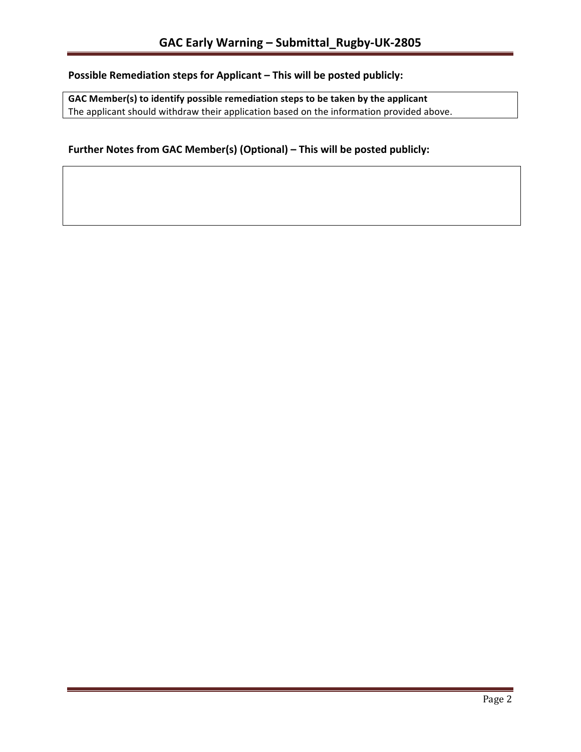# **Possible Remediation steps for Applicant – This will be posted publicly:**

GAC Member(s) to identify possible remediation steps to be taken by the applicant The applicant should withdraw their application based on the information provided above.

## Further Notes from GAC Member(s) (Optional) – This will be posted publicly: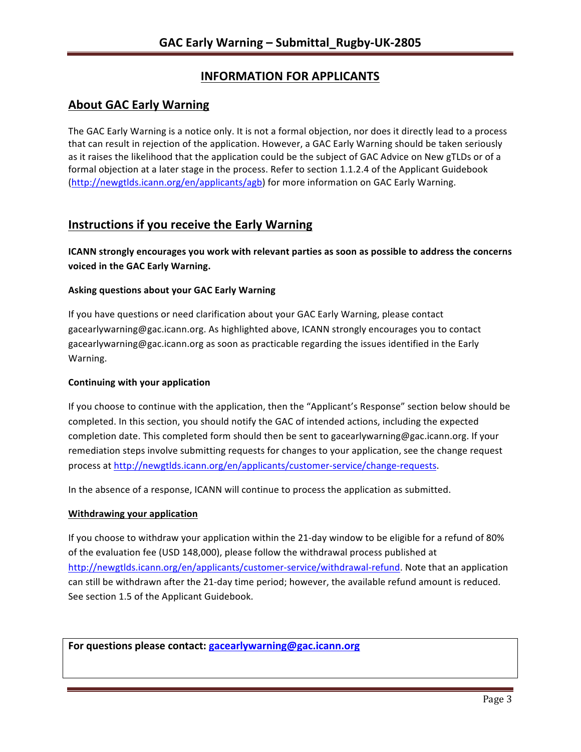# **INFORMATION FOR APPLICANTS**

## **About GAC Early Warning**

The GAC Early Warning is a notice only. It is not a formal objection, nor does it directly lead to a process that can result in rejection of the application. However, a GAC Early Warning should be taken seriously as it raises the likelihood that the application could be the subject of GAC Advice on New gTLDs or of a formal objection at a later stage in the process. Refer to section 1.1.2.4 of the Applicant Guidebook (http://newgtlds.icann.org/en/applicants/agb) for more information on GAC Early Warning.

## **Instructions if you receive the Early Warning**

**ICANN** strongly encourages you work with relevant parties as soon as possible to address the concerns **voiced in the GAC Early Warning.** 

#### **Asking questions about your GAC Early Warning**

If you have questions or need clarification about your GAC Early Warning, please contact gacearlywarning@gac.icann.org. As highlighted above, ICANN strongly encourages you to contact gacearlywarning@gac.icann.org as soon as practicable regarding the issues identified in the Early Warning. 

#### **Continuing with your application**

If you choose to continue with the application, then the "Applicant's Response" section below should be completed. In this section, you should notify the GAC of intended actions, including the expected completion date. This completed form should then be sent to gacearlywarning@gac.icann.org. If your remediation steps involve submitting requests for changes to your application, see the change request process at http://newgtlds.icann.org/en/applicants/customer-service/change-requests.

In the absence of a response, ICANN will continue to process the application as submitted.

#### **Withdrawing your application**

If you choose to withdraw your application within the 21-day window to be eligible for a refund of 80% of the evaluation fee (USD 148,000), please follow the withdrawal process published at http://newgtlds.icann.org/en/applicants/customer-service/withdrawal-refund. Note that an application can still be withdrawn after the 21-day time period; however, the available refund amount is reduced. See section 1.5 of the Applicant Guidebook.

For questions please contact: gacearlywarning@gac.icann.org